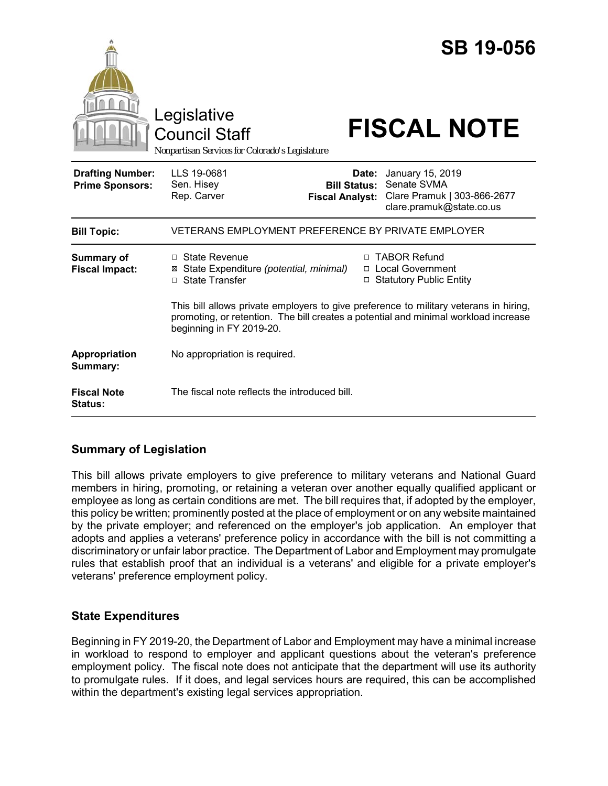|                                                   | <b>SB 19-056</b><br>Legislative<br><b>FISCAL NOTE</b><br><b>Council Staff</b><br>Nonpartisan Services for Colorado's Legislature                                                                                                                                                                                                                       |
|---------------------------------------------------|--------------------------------------------------------------------------------------------------------------------------------------------------------------------------------------------------------------------------------------------------------------------------------------------------------------------------------------------------------|
| <b>Drafting Number:</b><br><b>Prime Sponsors:</b> | LLS 19-0681<br>January 15, 2019<br>Date:<br>Senate SVMA<br>Sen. Hisey<br><b>Bill Status:</b><br>Rep. Carver<br>Clare Pramuk   303-866-2677<br><b>Fiscal Analyst:</b><br>clare.pramuk@state.co.us                                                                                                                                                       |
| <b>Bill Topic:</b>                                | VETERANS EMPLOYMENT PREFERENCE BY PRIVATE EMPLOYER                                                                                                                                                                                                                                                                                                     |
| <b>Summary of</b><br><b>Fiscal Impact:</b>        | <b>TABOR Refund</b><br>$\Box$ State Revenue<br>п<br>□ Local Government<br>State Expenditure (potential, minimal)<br>⊠<br>□ State Transfer<br>□ Statutory Public Entity<br>This bill allows private employers to give preference to military veterans in hiring,<br>promoting, or retention. The bill creates a potential and minimal workload increase |
|                                                   | beginning in FY 2019-20.                                                                                                                                                                                                                                                                                                                               |
| Appropriation<br>Summary:                         | No appropriation is required.                                                                                                                                                                                                                                                                                                                          |
| <b>Fiscal Note</b><br>Status:                     | The fiscal note reflects the introduced bill.                                                                                                                                                                                                                                                                                                          |

## **Summary of Legislation**

This bill allows private employers to give preference to military veterans and National Guard members in hiring, promoting, or retaining a veteran over another equally qualified applicant or employee as long as certain conditions are met. The bill requires that, if adopted by the employer, this policy be written; prominently posted at the place of employment or on any website maintained by the private employer; and referenced on the employer's job application. An employer that adopts and applies a veterans' preference policy in accordance with the bill is not committing a discriminatory or unfair labor practice. The Department of Labor and Employment may promulgate rules that establish proof that an individual is a veterans' and eligible for a private employer's veterans' preference employment policy.

## **State Expenditures**

Beginning in FY 2019-20, the Department of Labor and Employment may have a minimal increase in workload to respond to employer and applicant questions about the veteran's preference employment policy. The fiscal note does not anticipate that the department will use its authority to promulgate rules. If it does, and legal services hours are required, this can be accomplished within the department's existing legal services appropriation.